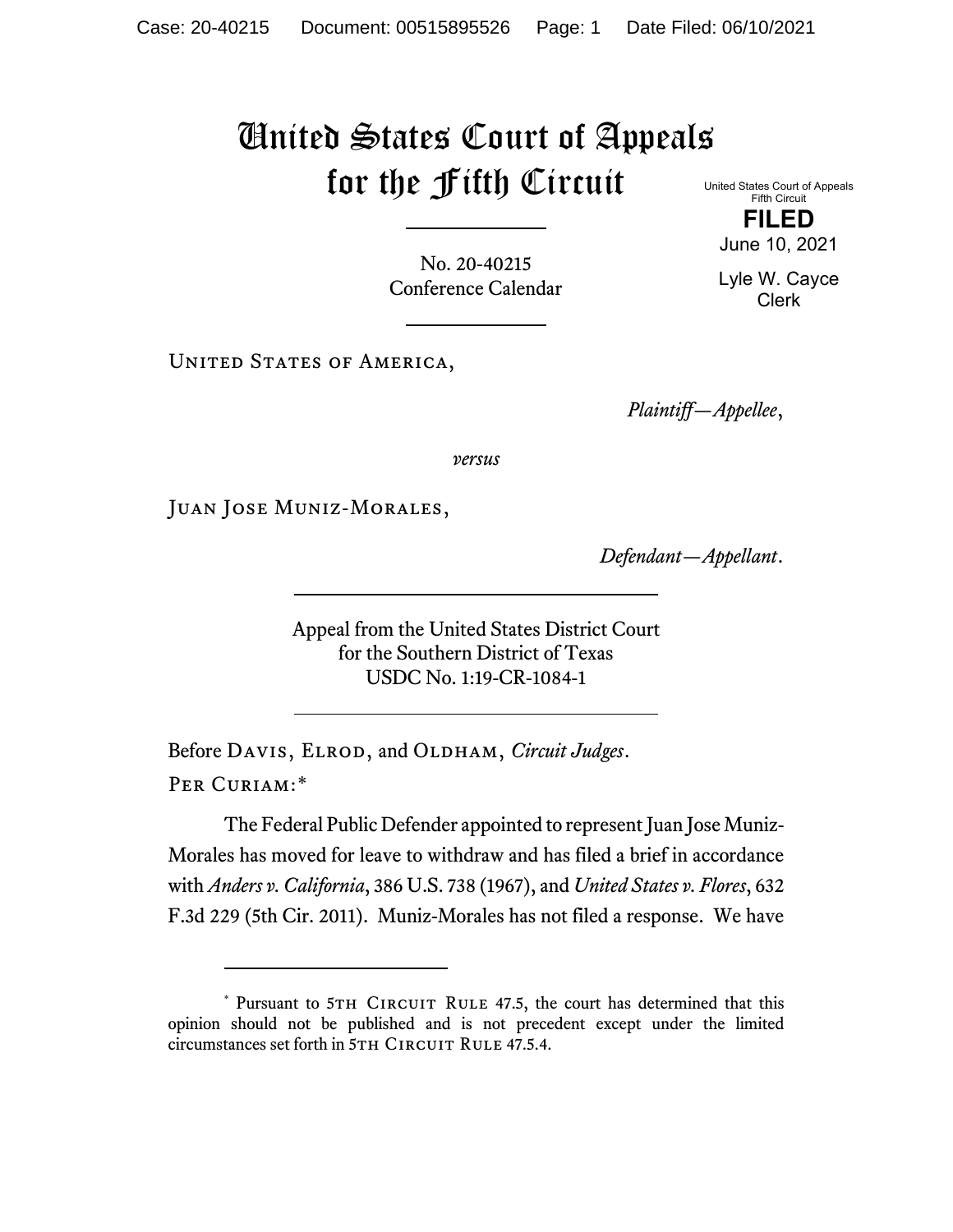## United States Court of Appeals for the Fifth Circuit

No. 20-40215 Conference Calendar

UNITED STATES OF AMERICA,

*Plaintiff—Appellee*,

*versus*

Juan Jose Muniz-Morales,

*Defendant—Appellant*.

Appeal from the United States District Court for the Southern District of Texas USDC No. 1:19-CR-1084-1

Before DAVIS, ELROD, and OLDHAM, *Circuit Judges*. Per Curiam:[\\*](#page-0-0)

The Federal Public Defender appointed to represent Juan Jose Muniz-Morales has moved for leave to withdraw and has filed a brief in accordance with *Anders v. California*, 386 U.S. 738 (1967), and *United States v. Flores*, 632 F.3d 229 (5th Cir. 2011). Muniz-Morales has not filed a response. We have

United States Court of Appeals Fifth Circuit **FILED**

June 10, 2021

Lyle W. Cayce Clerk

<span id="page-0-0"></span><sup>\*</sup> Pursuant to 5TH CIRCUIT RULE 47.5, the court has determined that this opinion should not be published and is not precedent except under the limited circumstances set forth in 5TH CIRCUIT RULE 47.5.4.